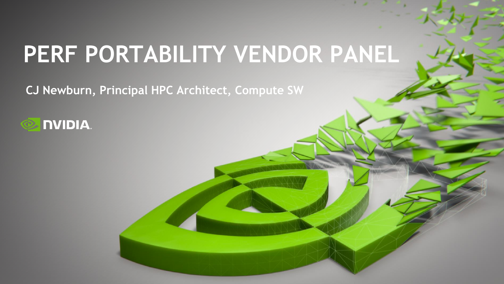# **PERF PORTABILITY VENDOR PANEL**

**CJ Newburn, Principal HPC Architect, Compute SW**

#### **NVIDIA.**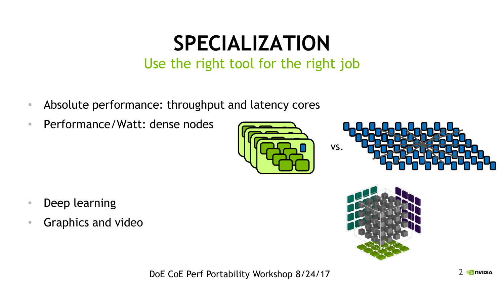### **SPECIALIZATION**

#### Use the right tool for the right job

- Absolute performance: throughput and latency cores
- Performance/Watt: dense nodes





- Deep learning
- Graphics and video



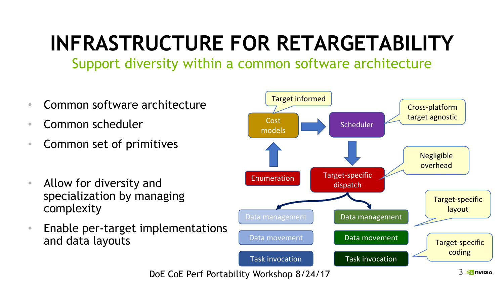## **INFRASTRUCTURE FOR RETARGETABILITY**

Support diversity within a common software architecture

- Common software architecture
- Common scheduler
- Common set of primitives
- Allow for diversity and specialization by managing complexity
- Enable per-target implementations and data layouts

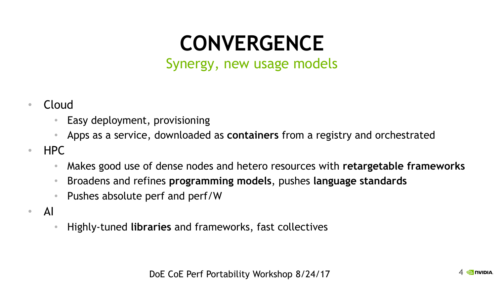### **CONVERGENCE**

Synergy, new usage models

- Cloud
	- Easy deployment, provisioning
	- Apps as a service, downloaded as **containers** from a registry and orchestrated
- HPC
	- Makes good use of dense nodes and hetero resources with **retargetable frameworks**
	- Broadens and refines **programming models**, pushes **language standards**
	- Pushes absolute perf and perf/W
- AI
	- Highly-tuned **libraries** and frameworks, fast collectives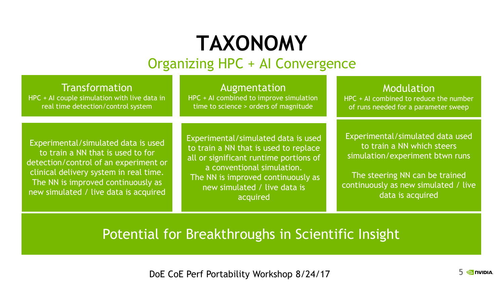#### **TAXONOMY** Organizing HPC + AI Convergence

Transformation HPC + AI couple simulation with live data in real time detection/control system

Augmentation HPC + AI combined to improve simulation time to science > orders of magnitude

Modulation

HPC + AI combined to reduce the number of runs needed for a parameter sweep

Experimental/simulated data is used to train a NN that is used to for detection/control of an experiment or clinical delivery system in real time. The NN is improved continuously as new simulated / live data is acquired

Experimental/simulated data is used to train a NN that is used to replace all or significant runtime portions of a conventional simulation. The NN is improved continuously as new simulated / live data is acquired

Experimental/simulated data used to train a NN which steers simulation/experiment btwn runs

The steering NN can be trained continuously as new simulated / live data is acquired

#### Potential for Breakthroughs in Scientific Insight